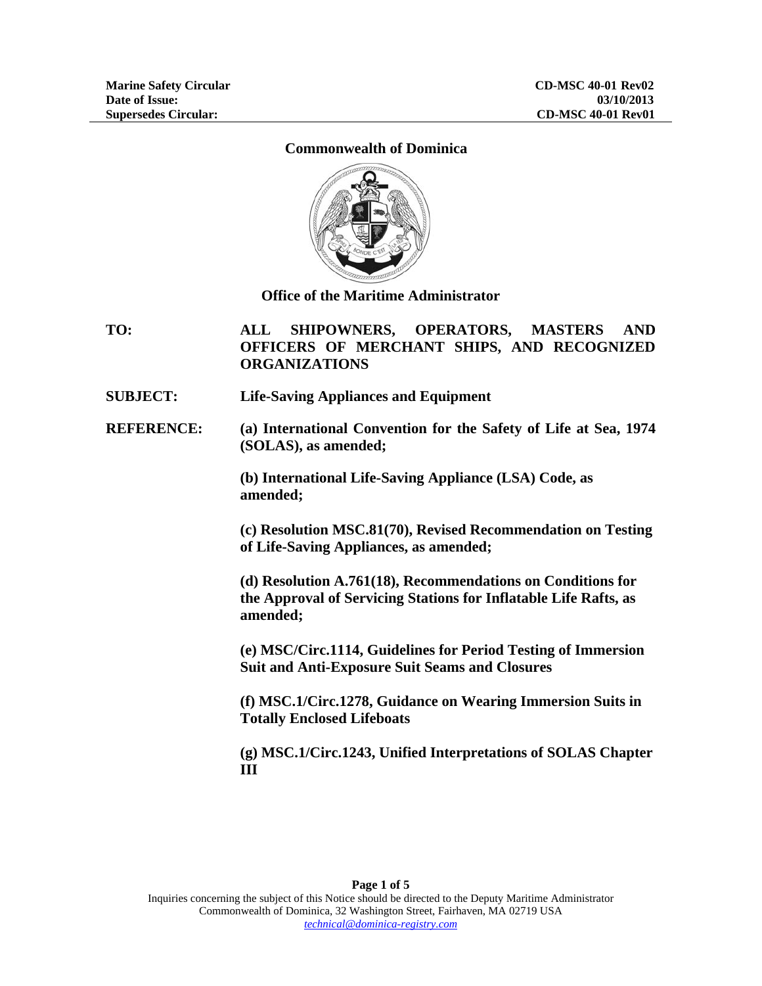## **Commonwealth of Dominica**



**Office of the Maritime Administrator** 

**TO: ALL SHIPOWNERS, OPERATORS, MASTERS AND OFFICERS OF MERCHANT SHIPS, AND RECOGNIZED ORGANIZATIONS** 

**SUBJECT: Life-Saving Appliances and Equipment** 

**REFERENCE: (a) International Convention for the Safety of Life at Sea, 1974 (SOLAS), as amended;** 

> **(b) International Life-Saving Appliance (LSA) Code, as amended;**

**(c) Resolution MSC.81(70), Revised Recommendation on Testing of Life-Saving Appliances, as amended;** 

**(d) Resolution A.761(18), Recommendations on Conditions for the Approval of Servicing Stations for Inflatable Life Rafts, as amended;** 

**(e) MSC/Circ.1114, Guidelines for Period Testing of Immersion Suit and Anti-Exposure Suit Seams and Closures** 

**(f) MSC.1/Circ.1278, Guidance on Wearing Immersion Suits in Totally Enclosed Lifeboats** 

**(g) MSC.1/Circ.1243, Unified Interpretations of SOLAS Chapter III**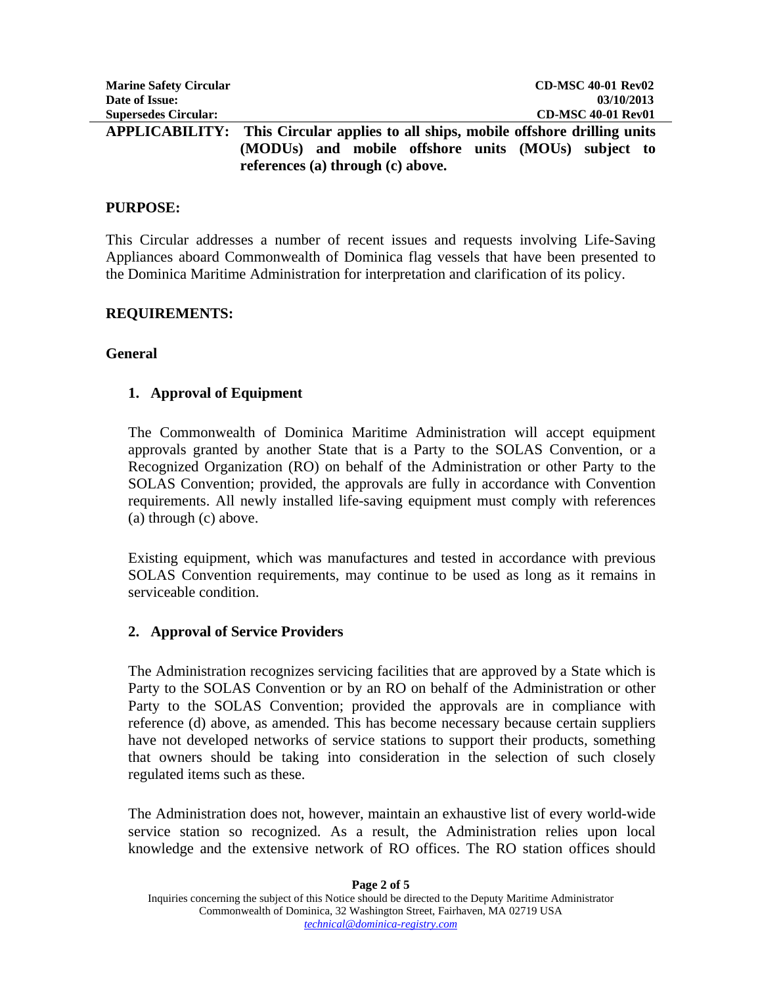| <b>Marine Safety Circular</b> | <b>CD-MSC 40-01 Rev02</b>                                          |
|-------------------------------|--------------------------------------------------------------------|
| Date of Issue:                | 03/10/2013                                                         |
| <b>Supersedes Circular:</b>   | <b>CD-MSC 40-01 Rev01</b>                                          |
| APPLICABILITY:                | This Circular applies to all ships, mobile offshore drilling units |
|                               | and mobile offshore units (MOUs) subject to<br>(MODUs)             |

**references (a) through (c) above.** 

## **PURPOSE:**

This Circular addresses a number of recent issues and requests involving Life-Saving Appliances aboard Commonwealth of Dominica flag vessels that have been presented to the Dominica Maritime Administration for interpretation and clarification of its policy.

## **REQUIREMENTS:**

## **General**

## **1. Approval of Equipment**

The Commonwealth of Dominica Maritime Administration will accept equipment approvals granted by another State that is a Party to the SOLAS Convention, or a Recognized Organization (RO) on behalf of the Administration or other Party to the SOLAS Convention; provided, the approvals are fully in accordance with Convention requirements. All newly installed life-saving equipment must comply with references (a) through (c) above.

Existing equipment, which was manufactures and tested in accordance with previous SOLAS Convention requirements, may continue to be used as long as it remains in serviceable condition.

## **2. Approval of Service Providers**

The Administration recognizes servicing facilities that are approved by a State which is Party to the SOLAS Convention or by an RO on behalf of the Administration or other Party to the SOLAS Convention; provided the approvals are in compliance with reference (d) above, as amended. This has become necessary because certain suppliers have not developed networks of service stations to support their products, something that owners should be taking into consideration in the selection of such closely regulated items such as these.

The Administration does not, however, maintain an exhaustive list of every world-wide service station so recognized. As a result, the Administration relies upon local knowledge and the extensive network of RO offices. The RO station offices should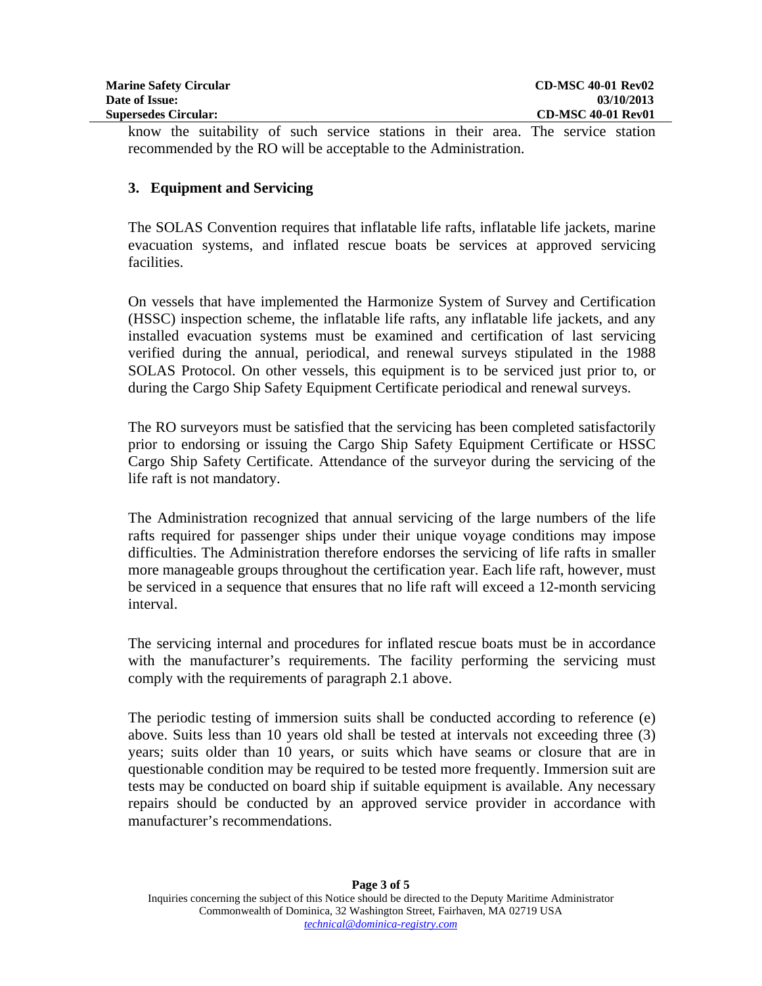| <b>Marine Safety Circular</b> | <b>CD-MSC 40-01 Rev02</b> |
|-------------------------------|---------------------------|
| Date of Issue:                | 03/10/2013                |
| <b>Supersedes Circular:</b>   | <b>CD-MSC 40-01 Rev01</b> |

know the suitability of such service stations in their area. The service station recommended by the RO will be acceptable to the Administration.

# **3. Equipment and Servicing**

The SOLAS Convention requires that inflatable life rafts, inflatable life jackets, marine evacuation systems, and inflated rescue boats be services at approved servicing facilities.

On vessels that have implemented the Harmonize System of Survey and Certification (HSSC) inspection scheme, the inflatable life rafts, any inflatable life jackets, and any installed evacuation systems must be examined and certification of last servicing verified during the annual, periodical, and renewal surveys stipulated in the 1988 SOLAS Protocol. On other vessels, this equipment is to be serviced just prior to, or during the Cargo Ship Safety Equipment Certificate periodical and renewal surveys.

The RO surveyors must be satisfied that the servicing has been completed satisfactorily prior to endorsing or issuing the Cargo Ship Safety Equipment Certificate or HSSC Cargo Ship Safety Certificate. Attendance of the surveyor during the servicing of the life raft is not mandatory.

The Administration recognized that annual servicing of the large numbers of the life rafts required for passenger ships under their unique voyage conditions may impose difficulties. The Administration therefore endorses the servicing of life rafts in smaller more manageable groups throughout the certification year. Each life raft, however, must be serviced in a sequence that ensures that no life raft will exceed a 12-month servicing interval.

The servicing internal and procedures for inflated rescue boats must be in accordance with the manufacturer's requirements. The facility performing the servicing must comply with the requirements of paragraph 2.1 above.

The periodic testing of immersion suits shall be conducted according to reference (e) above. Suits less than 10 years old shall be tested at intervals not exceeding three (3) years; suits older than 10 years, or suits which have seams or closure that are in questionable condition may be required to be tested more frequently. Immersion suit are tests may be conducted on board ship if suitable equipment is available. Any necessary repairs should be conducted by an approved service provider in accordance with manufacturer's recommendations.

Ï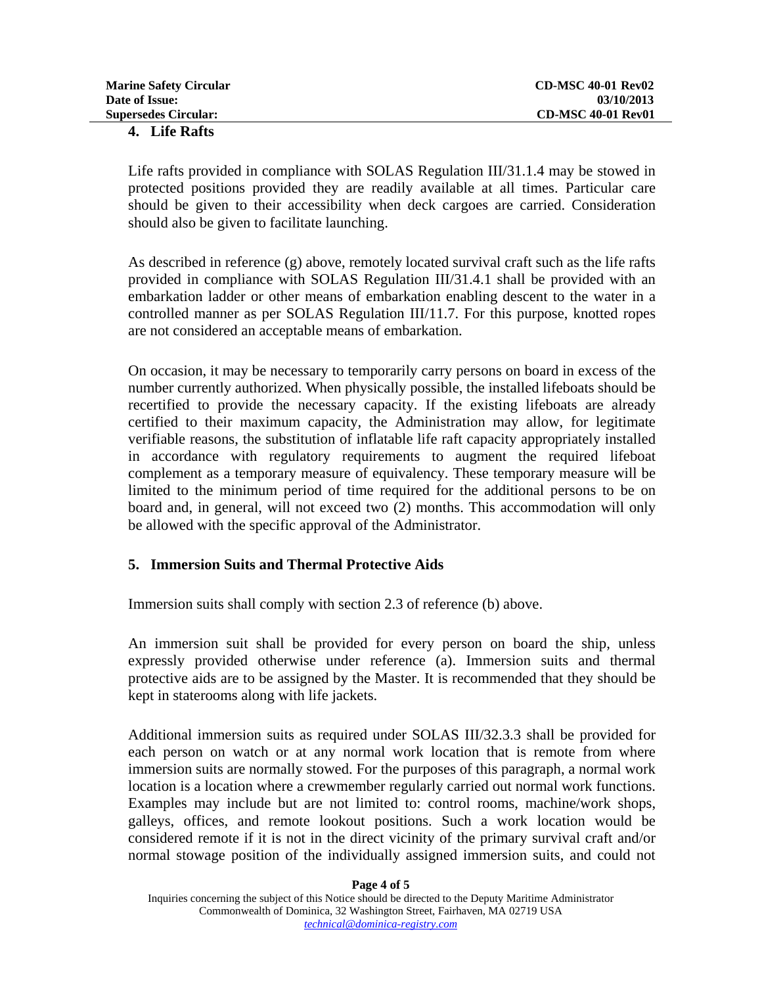| <b>Marine Safety Circular</b> | <b>CD-MSC 40-01 Rev02</b> |
|-------------------------------|---------------------------|
| Date of Issue:                | 03/10/2013                |
| <b>Supersedes Circular:</b>   | <b>CD-MSC 40-01 Rev01</b> |
| 4. Life Rafts                 |                           |

Life rafts provided in compliance with SOLAS Regulation III/31.1.4 may be stowed in protected positions provided they are readily available at all times. Particular care should be given to their accessibility when deck cargoes are carried. Consideration should also be given to facilitate launching.

As described in reference  $(g)$  above, remotely located survival craft such as the life rafts provided in compliance with SOLAS Regulation III/31.4.1 shall be provided with an embarkation ladder or other means of embarkation enabling descent to the water in a controlled manner as per SOLAS Regulation III/11.7. For this purpose, knotted ropes are not considered an acceptable means of embarkation.

On occasion, it may be necessary to temporarily carry persons on board in excess of the number currently authorized. When physically possible, the installed lifeboats should be recertified to provide the necessary capacity. If the existing lifeboats are already certified to their maximum capacity, the Administration may allow, for legitimate verifiable reasons, the substitution of inflatable life raft capacity appropriately installed in accordance with regulatory requirements to augment the required lifeboat complement as a temporary measure of equivalency. These temporary measure will be limited to the minimum period of time required for the additional persons to be on board and, in general, will not exceed two (2) months. This accommodation will only be allowed with the specific approval of the Administrator.

# **5. Immersion Suits and Thermal Protective Aids**

Immersion suits shall comply with section 2.3 of reference (b) above.

An immersion suit shall be provided for every person on board the ship, unless expressly provided otherwise under reference (a). Immersion suits and thermal protective aids are to be assigned by the Master. It is recommended that they should be kept in staterooms along with life jackets.

Additional immersion suits as required under SOLAS III/32.3.3 shall be provided for each person on watch or at any normal work location that is remote from where immersion suits are normally stowed. For the purposes of this paragraph, a normal work location is a location where a crewmember regularly carried out normal work functions. Examples may include but are not limited to: control rooms, machine/work shops, galleys, offices, and remote lookout positions. Such a work location would be considered remote if it is not in the direct vicinity of the primary survival craft and/or normal stowage position of the individually assigned immersion suits, and could not